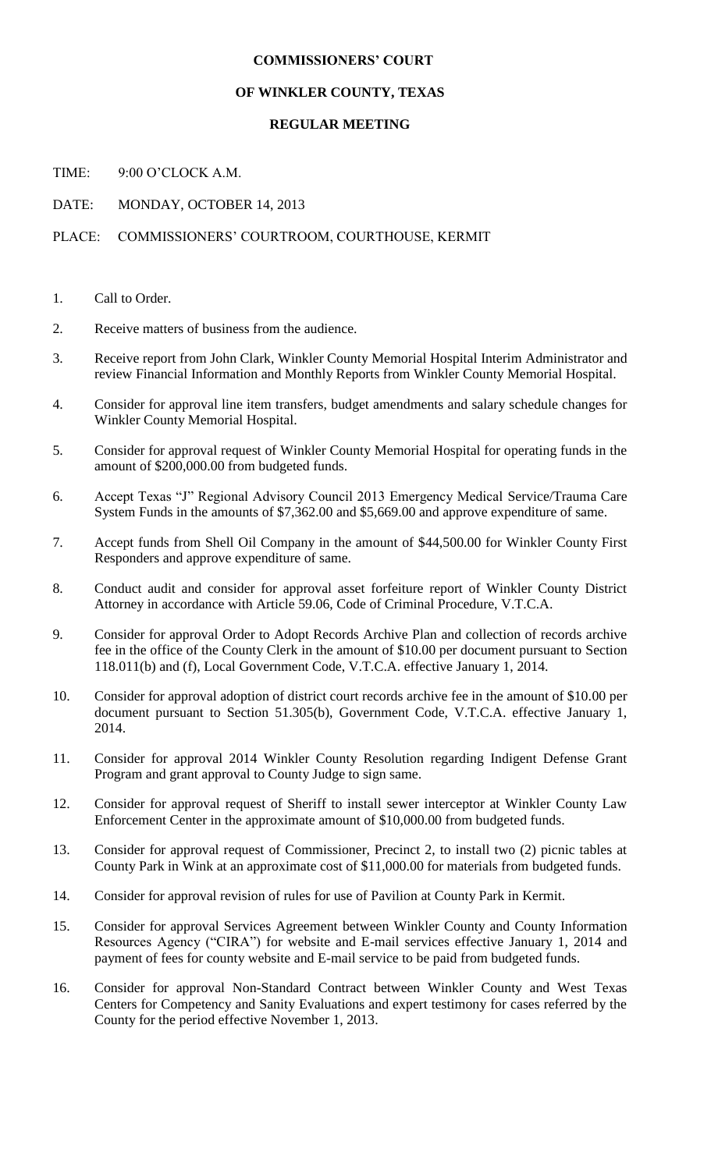## **COMMISSIONERS' COURT**

### **OF WINKLER COUNTY, TEXAS**

### **REGULAR MEETING**

TIME: 9:00 O'CLOCK A.M.

DATE: MONDAY, OCTOBER 14, 2013

# PLACE: COMMISSIONERS' COURTROOM, COURTHOUSE, KERMIT

- 1. Call to Order.
- 2. Receive matters of business from the audience.
- 3. Receive report from John Clark, Winkler County Memorial Hospital Interim Administrator and review Financial Information and Monthly Reports from Winkler County Memorial Hospital.
- 4. Consider for approval line item transfers, budget amendments and salary schedule changes for Winkler County Memorial Hospital.
- 5. Consider for approval request of Winkler County Memorial Hospital for operating funds in the amount of \$200,000.00 from budgeted funds.
- 6. Accept Texas "J" Regional Advisory Council 2013 Emergency Medical Service/Trauma Care System Funds in the amounts of \$7,362.00 and \$5,669.00 and approve expenditure of same.
- 7. Accept funds from Shell Oil Company in the amount of \$44,500.00 for Winkler County First Responders and approve expenditure of same.
- 8. Conduct audit and consider for approval asset forfeiture report of Winkler County District Attorney in accordance with Article 59.06, Code of Criminal Procedure, V.T.C.A.
- 9. Consider for approval Order to Adopt Records Archive Plan and collection of records archive fee in the office of the County Clerk in the amount of \$10.00 per document pursuant to Section 118.011(b) and (f), Local Government Code, V.T.C.A. effective January 1, 2014.
- 10. Consider for approval adoption of district court records archive fee in the amount of \$10.00 per document pursuant to Section 51.305(b), Government Code, V.T.C.A. effective January 1, 2014.
- 11. Consider for approval 2014 Winkler County Resolution regarding Indigent Defense Grant Program and grant approval to County Judge to sign same.
- 12. Consider for approval request of Sheriff to install sewer interceptor at Winkler County Law Enforcement Center in the approximate amount of \$10,000.00 from budgeted funds.
- 13. Consider for approval request of Commissioner, Precinct 2, to install two (2) picnic tables at County Park in Wink at an approximate cost of \$11,000.00 for materials from budgeted funds.
- 14. Consider for approval revision of rules for use of Pavilion at County Park in Kermit.
- 15. Consider for approval Services Agreement between Winkler County and County Information Resources Agency ("CIRA") for website and E-mail services effective January 1, 2014 and payment of fees for county website and E-mail service to be paid from budgeted funds.
- 16. Consider for approval Non-Standard Contract between Winkler County and West Texas Centers for Competency and Sanity Evaluations and expert testimony for cases referred by the County for the period effective November 1, 2013.